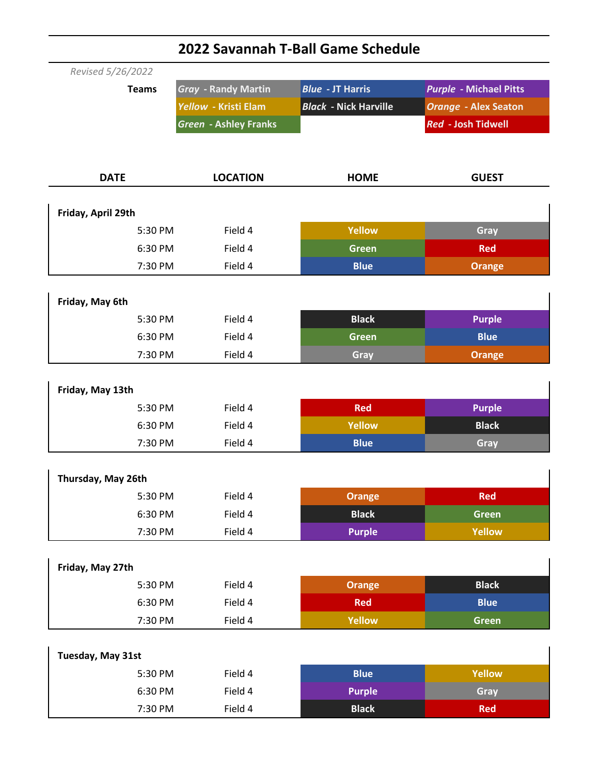| Revised 5/26/2022  |                              |                              |                               |  |  |
|--------------------|------------------------------|------------------------------|-------------------------------|--|--|
| <b>Teams</b>       | <b>Gray - Randy Martin</b>   | <b>Blue - JT Harris</b>      | <b>Purple - Michael Pitts</b> |  |  |
|                    | Yellow - Kristi Elam         | <b>Black - Nick Harville</b> | <b>Orange - Alex Seaton</b>   |  |  |
|                    | <b>Green - Ashley Franks</b> |                              | <b>Red - Josh Tidwell</b>     |  |  |
|                    |                              |                              |                               |  |  |
|                    |                              |                              |                               |  |  |
| <b>DATE</b>        | <b>LOCATION</b>              | <b>HOME</b>                  | <b>GUEST</b>                  |  |  |
|                    |                              |                              |                               |  |  |
| Friday, April 29th |                              |                              |                               |  |  |
| 5:30 PM            | Field 4                      | <b>Yellow</b>                | Gray                          |  |  |
| 6:30 PM            | Field 4                      | <b>Green</b>                 | <b>Red</b>                    |  |  |
| 7:30 PM            | Field 4                      | <b>Blue</b>                  | <b>Orange</b>                 |  |  |
|                    |                              |                              |                               |  |  |
| Friday, May 6th    |                              |                              |                               |  |  |
| 5:30 PM            | Field 4                      | <b>Black</b>                 | <b>Purple</b>                 |  |  |
| 6:30 PM            | Field 4                      | <b>Green</b>                 | <b>Blue</b>                   |  |  |
| 7:30 PM            | Field 4                      | Gray                         | <b>Orange</b>                 |  |  |
|                    |                              |                              |                               |  |  |
| Friday, May 13th   |                              |                              |                               |  |  |
| 5:30 PM            | Field 4                      | <b>Red</b>                   | <b>Purple</b>                 |  |  |
| 6:30 PM            | Field 4                      | <b>Yellow</b>                | <b>Black</b>                  |  |  |
| 7:30 PM            | Field 4                      | <b>Blue</b>                  | Gray                          |  |  |
|                    |                              |                              |                               |  |  |
| Thursday, May 26th |                              |                              |                               |  |  |
| 5:30 PM            | Field 4                      | <b>Orange</b>                | <b>Red</b>                    |  |  |
| 6:30 PM            | Field 4                      | <b>Black</b>                 | <b>Green</b>                  |  |  |
| 7:30 PM            | Field 4                      | <b>Purple</b>                | Yellow                        |  |  |
|                    |                              |                              |                               |  |  |
| Friday, May 27th   |                              |                              |                               |  |  |
| 5:30 PM            | Field 4                      | <b>Orange</b>                | <b>Black</b>                  |  |  |
| 6:30 PM            | Field 4                      | <b>Red</b>                   | <b>Blue</b>                   |  |  |
| 7:30 PM            | Field 4                      | Yellow                       | <b>Green</b>                  |  |  |
|                    |                              |                              |                               |  |  |
| Tuesday, May 31st  |                              |                              |                               |  |  |
| 5:30 PM            | Field 4                      | <b>Blue</b>                  | Yellow                        |  |  |
| 6:30 PM            | Field 4                      | <b>Purple</b>                | Gray                          |  |  |
| 7:30 PM            | Field 4                      | <b>Black</b>                 | <b>Red</b>                    |  |  |

## **2022 Savannah T-Ball Game Schedule**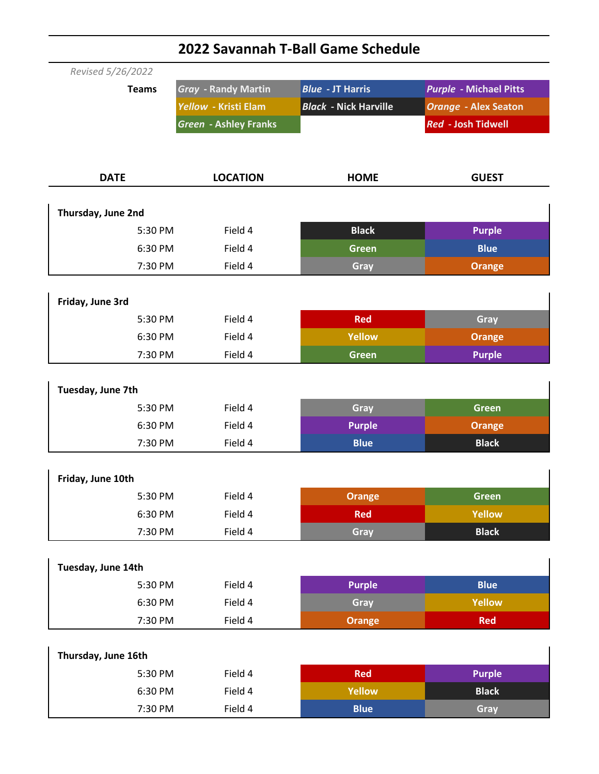| Revised 5/26/2022   |                              |                              |                               |  |  |
|---------------------|------------------------------|------------------------------|-------------------------------|--|--|
| <b>Teams</b>        | <b>Gray - Randy Martin</b>   | <b>Blue - JT Harris</b>      | <b>Purple - Michael Pitts</b> |  |  |
|                     | Yellow - Kristi Elam         | <b>Black - Nick Harville</b> | <b>Orange - Alex Seaton</b>   |  |  |
|                     | <b>Green - Ashley Franks</b> |                              | <b>Red - Josh Tidwell</b>     |  |  |
|                     |                              |                              |                               |  |  |
|                     |                              |                              |                               |  |  |
| <b>DATE</b>         | <b>LOCATION</b>              | <b>HOME</b>                  | <b>GUEST</b>                  |  |  |
| Thursday, June 2nd  |                              |                              |                               |  |  |
| 5:30 PM             | Field 4                      | <b>Black</b>                 | <b>Purple</b>                 |  |  |
| 6:30 PM             | Field 4                      | <b>Green</b>                 | <b>Blue</b>                   |  |  |
| 7:30 PM             | Field 4                      | Gray                         | <b>Orange</b>                 |  |  |
|                     |                              |                              |                               |  |  |
| Friday, June 3rd    |                              |                              |                               |  |  |
| 5:30 PM             | Field 4                      | <b>Red</b>                   | Gray                          |  |  |
| 6:30 PM             | Field 4                      | <b>Yellow</b>                | <b>Orange</b>                 |  |  |
| 7:30 PM             | Field 4                      | <b>Green</b>                 | <b>Purple</b>                 |  |  |
|                     |                              |                              |                               |  |  |
| Tuesday, June 7th   |                              |                              |                               |  |  |
| 5:30 PM             | Field 4                      | Gray                         | <b>Green</b>                  |  |  |
| 6:30 PM             | Field 4                      | <b>Purple</b>                | <b>Orange</b>                 |  |  |
| 7:30 PM             | Field 4                      | <b>Blue</b>                  | <b>Black</b>                  |  |  |
|                     |                              |                              |                               |  |  |
| Friday, June 10th   |                              |                              |                               |  |  |
| 5:30 PM             | Field 4                      | <b>Orange</b>                | <b>Green</b>                  |  |  |
| 6:30 PM             | Field 4                      | <b>Red</b>                   | <b>Yellow</b>                 |  |  |
| 7:30 PM             | Field 4                      | Gray                         | <b>Black</b>                  |  |  |
| Tuesday, June 14th  |                              |                              |                               |  |  |
| 5:30 PM             | Field 4                      | <b>Purple</b>                | <b>Blue</b>                   |  |  |
| 6:30 PM             | Field 4                      | Gray                         | Yellow                        |  |  |
| 7:30 PM             | Field 4                      | <b>Orange</b>                | <b>Red</b>                    |  |  |
|                     |                              |                              |                               |  |  |
| Thursday, June 16th |                              |                              |                               |  |  |
| 5:30 PM             | Field 4                      | <b>Red</b>                   | <b>Purple</b>                 |  |  |
| 6:30 PM             | Field 4                      | <b>Yellow</b>                | <b>Black</b>                  |  |  |
| 7:30 PM             | Field 4                      | <b>Blue</b>                  | Gray                          |  |  |

## **2022 Savannah T-Ball Game Schedule**